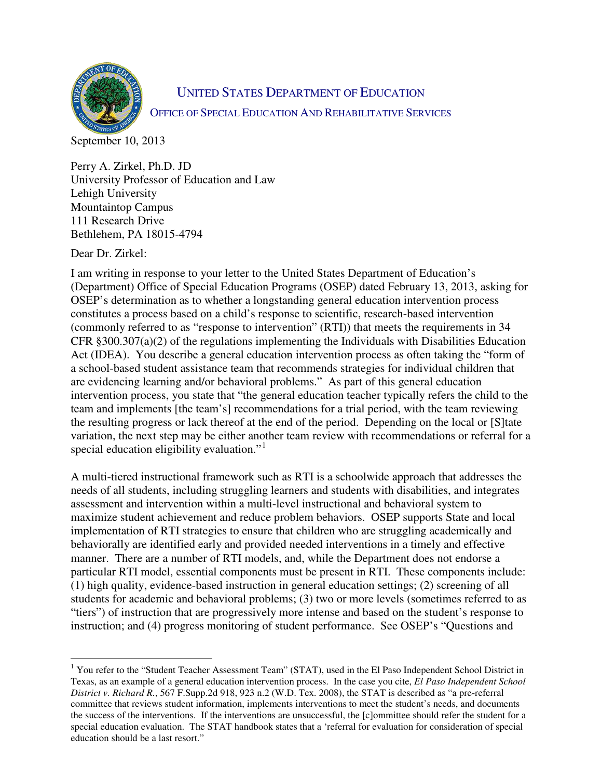

## UNITED STATES DEPARTMENT OF EDUCATION OFFICE OF SPECIAL EDUCATION AND REHABILITATIVE SERVICES

September 10, 2013

Perry A. Zirkel, Ph.D. JD University Professor of Education and Law Lehigh University Mountaintop Campus 111 Research Drive Bethlehem, PA 18015-4794

Dear Dr. Zirkel:

I am writing in response to your letter to the United States Department of Education's (Department) Office of Special Education Programs (OSEP) dated February 13, 2013, asking for OSEP's determination as to whether a longstanding general education intervention process constitutes a process based on a child's response to scientific, research-based intervention (commonly referred to as "response to intervention" (RTI)) that meets the requirements in 34 CFR §300.307(a)(2) of the regulations implementing the Individuals with Disabilities Education Act (IDEA). You describe a general education intervention process as often taking the "form of a school-based student assistance team that recommends strategies for individual children that are evidencing learning and/or behavioral problems." As part of this general education intervention process, you state that "the general education teacher typically refers the child to the team and implements [the team's] recommendations for a trial period, with the team reviewing the resulting progress or lack thereof at the end of the period. Depending on the local or [S]tate variation, the next step may be either another team review with recommendations or referral for a special education eligibility evaluation."<sup>[1](#page-0-0)</sup>

A multi-tiered instructional framework such as RTI is a schoolwide approach that addresses the needs of all students, including struggling learners and students with disabilities, and integrates assessment and intervention within a multi-level instructional and behavioral system to maximize student achievement and reduce problem behaviors. OSEP supports State and local implementation of RTI strategies to ensure that children who are struggling academically and behaviorally are identified early and provided needed interventions in a timely and effective manner. There are a number of RTI models, and, while the Department does not endorse a particular RTI model, essential components must be present in RTI. These components include: (1) high quality, evidence-based instruction in general education settings; (2) screening of all students for academic and behavioral problems; (3) two or more levels (sometimes referred to as "tiers") of instruction that are progressively more intense and based on the student's response to instruction; and (4) progress monitoring of student performance. See OSEP's "Questions and

<span id="page-0-0"></span> $\overline{a}$ <sup>1</sup> You refer to the "Student Teacher Assessment Team" (STAT), used in the El Paso Independent School District in Texas, as an example of a general education intervention process. In the case you cite, *El Paso Independent School District v. Richard R.*, 567 F.Supp.2d 918, 923 n.2 (W.D. Tex. 2008), the STAT is described as "a pre-referral committee that reviews student information, implements interventions to meet the student's needs, and documents the success of the interventions. If the interventions are unsuccessful, the [c]ommittee should refer the student for a special education evaluation. The STAT handbook states that a 'referral for evaluation for consideration of special education should be a last resort."